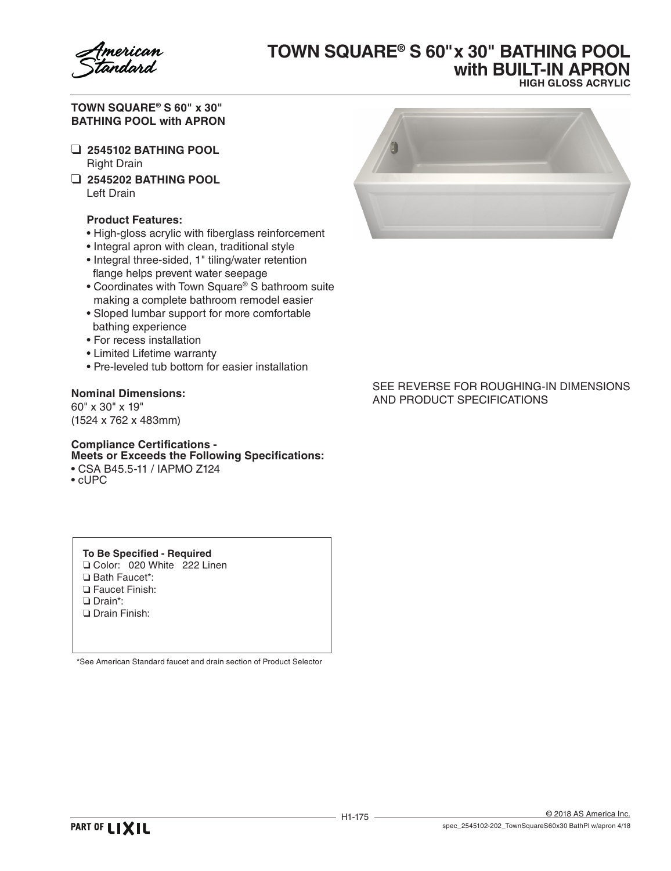

# **TOWN SQUARE® S 60" x 30" BATHING POOL with BUILT-IN APRON HIGH GLOSS ACRYLIC**

**TOWN SQUARE® S 60" x 30" BATHING POOL with APRON**

- ❑ **2545102 BATHING POOL** Right Drain
- ❑ **2545202 BATHING POOL** Left Drain

### **Product Features:**

- High-gloss acrylic with fiberglass reinforcement
- Integral apron with clean, traditional style
- Integral three-sided, 1" tiling/water retention flange helps prevent water seepage
- Coordinates with Town Square® S bathroom suite making a complete bathroom remodel easier
- Sloped lumbar support for more comfortable bathing experience
- For recess installation
- Limited Lifetime warranty
- Pre-leveled tub bottom for easier installation

### **Nominal Dimensions:**

60" x 30" x 19" (1524 x 762 x 483mm)

### **Compliance Certifications - Meets or Exceeds the Following Specifications:**

• CSA B45.5-11 / IAPMO Z124

• cUPC

#### **To Be Specified - Required**

- ❏ Color: 020 White 222 Linen
- ❏ Bath Faucet\*:
- ❏ Faucet Finish:
- ❏ Drain\*:
- ❏ Drain Finish:

\*See American Standard faucet and drain section of Product Selector



### SEE REVERSE FOR ROUGHING-IN DIMENSIONS AND PRODUCT SPECIFICATIONS